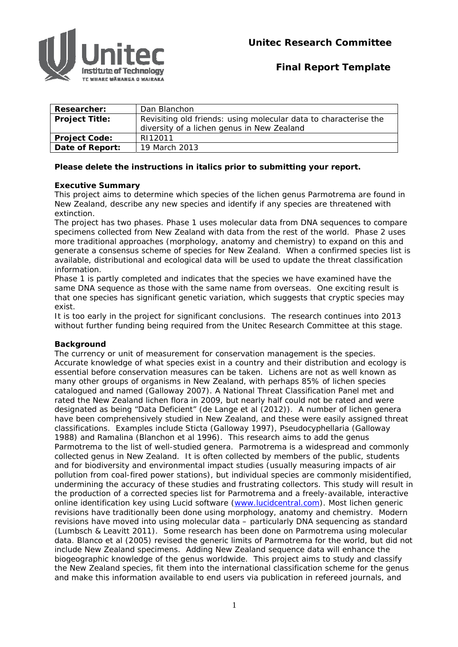

# **Final Report Template**

| <b>Researcher:</b>    | Dan Blanchon                                                     |
|-----------------------|------------------------------------------------------------------|
| <b>Project Title:</b> | Revisiting old friends: using molecular data to characterise the |
|                       | diversity of a lichen genus in New Zealand                       |
| <b>Project Code:</b>  | RI12011                                                          |
| Date of Report:       | 19 March 2013                                                    |

# **Please delete the instructions in italics prior to submitting your report.**

# **Executive Summary**

This project aims to determine which species of the lichen genus *Parmotrema* are found in New Zealand, describe any new species and identify if any species are threatened with extinction.

The project has two phases. Phase 1 uses molecular data from DNA sequences to compare specimens collected from New Zealand with data from the rest of the world. Phase 2 uses more traditional approaches (morphology, anatomy and chemistry) to expand on this and generate a consensus scheme of species for New Zealand. When a confirmed species list is available, distributional and ecological data will be used to update the threat classification information.

Phase 1 is partly completed and indicates that the species we have examined have the same DNA sequence as those with the same name from overseas. One exciting result is that one species has significant genetic variation, which suggests that cryptic species may exist.

It is too early in the project for significant conclusions. The research continues into 2013 without further funding being required from the Unitec Research Committee at this stage.

## **Background**

The currency or unit of measurement for conservation management is the species. Accurate knowledge of what species exist in a country and their distribution and ecology is essential before conservation measures can be taken. Lichens are not as well known as many other groups of organisms in New Zealand, with perhaps 85% of lichen species catalogued and named (Galloway 2007). A National Threat Classification Panel met and rated the New Zealand lichen flora in 2009, but nearly half could not be rated and were designated as being "Data Deficient" (de Lange et al (2012)). A number of lichen genera have been comprehensively studied in New Zealand, and these were easily assigned threat classifications. Examples include *Sticta* (Galloway 1997), *Pseudocyphellaria* (Galloway 1988) and *Ramalina* (Blanchon et al 1996). This research aims to add the genus *Parmotrema* to the list of well-studied genera. *Parmotrema* is a widespread and commonly collected genus in New Zealand. It is often collected by members of the public, students and for biodiversity and environmental impact studies (usually measuring impacts of air pollution from coal-fired power stations), but individual species are commonly misidentified, undermining the accuracy of these studies and frustrating collectors. This study will result in the production of a corrected species list for *Parmotrema* and a freely-available, interactive online identification key using Lucid software (www.lucidcentral.com). Most lichen generic revisions have traditionally been done using morphology, anatomy and chemistry. Modern revisions have moved into using molecular data – particularly DNA sequencing as standard (Lumbsch & Leavitt 2011). Some research has been done on *Parmotrema* using molecular data. Blanco et al (2005) revised the generic limits of *Parmotrema* for the world, but did not include New Zealand specimens. Adding New Zealand sequence data will enhance the biogeographic knowledge of the genus worldwide. This project aims to study and classify the New Zealand species, fit them into the international classification scheme for the genus and make this information available to end users via publication in refereed journals, and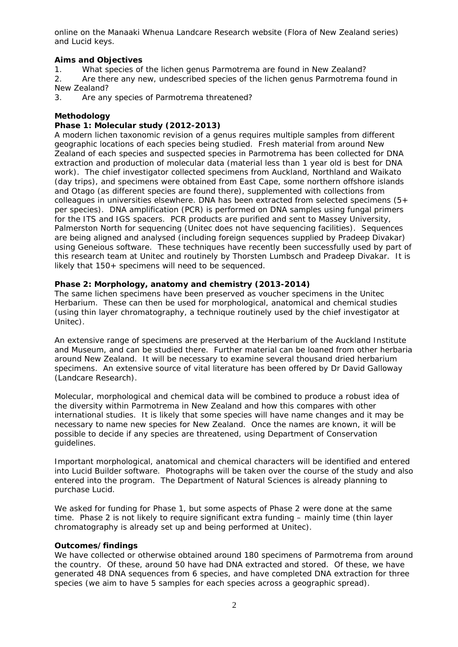online on the Manaaki Whenua Landcare Research website (Flora of New Zealand series) and Lucid keys.

# **Aims and Objectives**

- 1. What species of the lichen genus *Parmotrema* are found in New Zealand?
- 2. Are there any new, undescribed species of the lichen genus *Parmotrema* found in New Zealand?
- 3. Are any species of *Parmotrema* threatened?

# **Methodology**

# **Phase 1: Molecular study (2012-2013)**

A modern lichen taxonomic revision of a genus requires multiple samples from different geographic locations of each species being studied. Fresh material from around New Zealand of each species and suspected species in *Parmotrema* has been collected for DNA extraction and production of molecular data (material less than 1 year old is best for DNA work). The chief investigator collected specimens from Auckland, Northland and Waikato (day trips), and specimens were obtained from East Cape, some northern offshore islands and Otago (as different species are found there), supplemented with collections from colleagues in universities elsewhere. DNA has been extracted from selected specimens  $(5+)$ per species). DNA amplification (PCR) is performed on DNA samples using fungal primers for the ITS and IGS spacers. PCR products are purified and sent to Massey University, Palmerston North for sequencing (Unitec does not have sequencing facilities). Sequences are being aligned and analysed (including foreign sequences supplied by Pradeep Divakar) using Geneious software. These techniques have recently been successfully used by part of this research team at Unitec and routinely by Thorsten Lumbsch and Pradeep Divakar. It is likely that 150+ specimens will need to be sequenced.

# **Phase 2: Morphology, anatomy and chemistry (2013-2014)**

The same lichen specimens have been preserved as voucher specimens in the Unitec Herbarium. These can then be used for morphological, anatomical and chemical studies (using thin layer chromatography, a technique routinely used by the chief investigator at Unitec).

An extensive range of specimens are preserved at the Herbarium of the Auckland Institute and Museum, and can be studied there. Further material can be loaned from other herbaria around New Zealand. It will be necessary to examine several thousand dried herbarium specimens. An extensive source of vital literature has been offered by Dr David Galloway (Landcare Research).

Molecular, morphological and chemical data will be combined to produce a robust idea of the diversity within *Parmotrema* in New Zealand and how this compares with other international studies. It is likely that some species will have name changes and it may be necessary to name new species for New Zealand. Once the names are known, it will be possible to decide if any species are threatened, using Department of Conservation guidelines.

Important morphological, anatomical and chemical characters will be identified and entered into Lucid Builder software. Photographs will be taken over the course of the study and also entered into the program. The Department of Natural Sciences is already planning to purchase Lucid.

We asked for funding for Phase 1, but some aspects of Phase 2 were done at the same time. Phase 2 is not likely to require significant extra funding – mainly time (thin layer chromatography is already set up and being performed at Unitec).

## **Outcomes/findings**

We have collected or otherwise obtained around 180 specimens of *Parmotrema* from around the country. Of these, around 50 have had DNA extracted and stored. Of these, we have generated 48 DNA sequences from 6 species, and have completed DNA extraction for three species (we aim to have 5 samples for each species across a geographic spread).